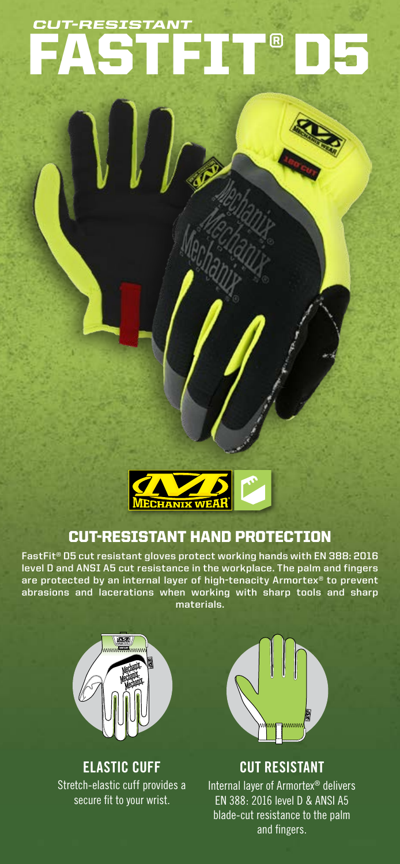# TFIT® *CUT-RESISTANT*



## CUT-RESISTANT HAND PROTECTION

**FastFit® D5 cut resistant gloves protect working hands with EN 388: 2016 level D and ANSI A5 cut resistance in the workplace. The palm and fingers are protected by an internal layer of high-tenacity Armortex® to prevent abrasions and lacerations when working with sharp tools and sharp materials.**



### **ELASTIC CUFF** Stretch-elastic cuff provides a secure fit to your wrist.



**CUT RESISTANT** Internal layer of Armortex® delivers EN 388: 2016 level D & ANSI A5 blade-cut resistance to the palm and fingers.